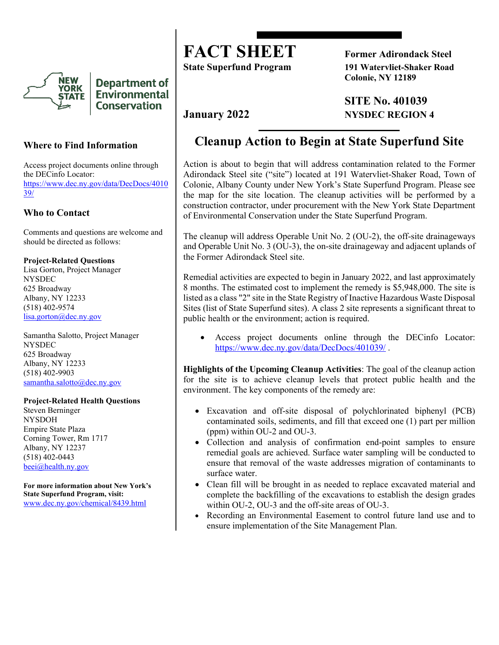

**Department of Environmental Conservation** 

## **Where to Find Information**

Access project documents online through the DECinfo Locator: [https://www.dec.ny.gov/data/DecDocs/4010](https://www.dec.ny.gov/data/DecDocs/401039/) [39/](https://www.dec.ny.gov/data/DecDocs/401039/)

### **Who to Contact**

Comments and questions are welcome and should be directed as follows:

**Project-Related Questions**

Lisa Gorton, Project Manager NYSDEC 625 Broadway Albany, NY 12233 (518) 402-9574 [lisa.gorton@dec.ny.gov](mailto:lisa.gorton@dec.ny.gov)

Samantha Salotto, Project Manager **NYSDEC** 625 Broadway Albany, NY 12233 (518) 402-9903 [samantha.salotto@dec.ny.gov](mailto:samantha.salotto@dec.ny.gov)

### **Project-Related Health Questions**

Steven Berninger NYSDOH Empire State Plaza Corning Tower, Rm 1717 Albany, NY 12237 (518) 402-0443 [beei@health.ny.gov](mailto:beei@health.ny.gov)

**For more information about New York's State Superfund Program, visit:** [www.dec.ny.gov/chemical/8439.html](https://www.dec.ny.gov/chemical/8439.html)

**FACT SHEET** Former Adirondack Steel

**State Superfund Program 191 Watervliet-Shaker Road Colonie, NY 12189**

**SITE No. 401039 January 2022 NYSDEC REGION 4**

# **Cleanup Action to Begin at State Superfund Site**

Action is about to begin that will address contamination related to the Former Adirondack Steel site ("site") located at 191 Watervliet-Shaker Road, Town of Colonie, Albany County under New York's State Superfund Program. Please see the map for the site location. The cleanup activities will be performed by a construction contractor, under procurement with the New York State Department of Environmental Conservation under the State Superfund Program.

The cleanup will address Operable Unit No. 2 (OU-2), the off-site drainageways and Operable Unit No. 3 (OU-3), the on-site drainageway and adjacent uplands of the Former Adirondack Steel site.

Remedial activities are expected to begin in January 2022, and last approximately 8 months. The estimated cost to implement the remedy is \$5,948,000. The site is listed as a class "2" site in the State Registry of Inactive Hazardous Waste Disposal Sites (list of State Superfund sites). A class 2 site represents a significant threat to public health or the environment; action is required.

Access project documents online through the DECinfo Locator: <https://www.dec.ny.gov/data/DecDocs/401039/> .

**Highlights of the Upcoming Cleanup Activities**: The goal of the cleanup action for the site is to achieve cleanup levels that protect public health and the environment. The key components of the remedy are:

- Excavation and off-site disposal of polychlorinated biphenyl (PCB) contaminated soils, sediments, and fill that exceed one (1) part per million (ppm) within OU-2 and OU-3.
- Collection and analysis of confirmation end-point samples to ensure remedial goals are achieved. Surface water sampling will be conducted to ensure that removal of the waste addresses migration of contaminants to surface water.
- Clean fill will be brought in as needed to replace excavated material and complete the backfilling of the excavations to establish the design grades within OU-2, OU-3 and the off-site areas of OU-3.
- Recording an Environmental Easement to control future land use and to ensure implementation of the Site Management Plan.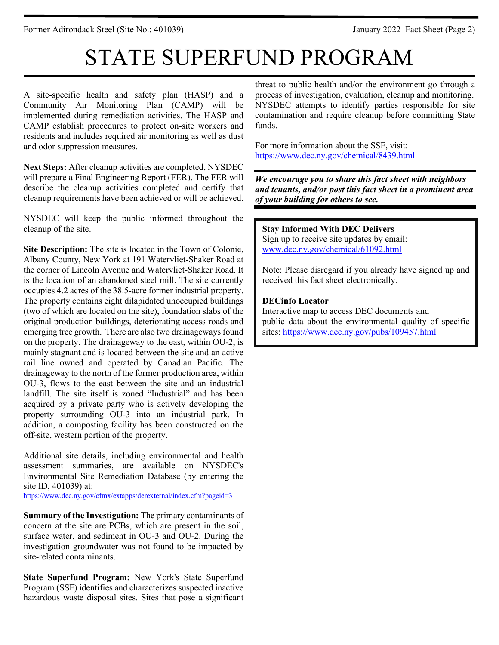Former Adirondack Steel (Site No.: 401039) January 2022 Fact Sheet (Page 2)

# STATE SUPERFUND PROGRAM

A site-specific health and safety plan (HASP) and a Community Air Monitoring Plan (CAMP) will be implemented during remediation activities. The HASP and CAMP establish procedures to protect on-site workers and residents and includes required air monitoring as well as dust and odor suppression measures.

**Next Steps:** After cleanup activities are completed, NYSDEC will prepare a Final Engineering Report (FER). The FER will describe the cleanup activities completed and certify that cleanup requirements have been achieved or will be achieved.

NYSDEC will keep the public informed throughout the cleanup of the site.

**Site Description:** The site is located in the Town of Colonie, Albany County, New York at 191 Watervliet-Shaker Road at the corner of Lincoln Avenue and Watervliet-Shaker Road. It is the location of an abandoned steel mill. The site currently occupies 4.2 acres of the 38.5-acre former industrial property. The property contains eight dilapidated unoccupied buildings (two of which are located on the site), foundation slabs of the original production buildings, deteriorating access roads and emerging tree growth. There are also two drainageways found on the property. The drainageway to the east, within OU-2, is mainly stagnant and is located between the site and an active rail line owned and operated by Canadian Pacific. The drainageway to the north of the former production area, within OU-3, flows to the east between the site and an industrial landfill. The site itself is zoned "Industrial" and has been acquired by a private party who is actively developing the property surrounding OU-3 into an industrial park. In addition, a composting facility has been constructed on the off-site, western portion of the property.

Additional site details, including environmental and health assessment summaries, are available on NYSDEC's Environmental Site Remediation Database (by entering the site ID, 401039) at:

<https://www.dec.ny.gov/cfmx/extapps/derexternal/index.cfm?pageid=3>

**Summary of the Investigation:** The primary contaminants of concern at the site are PCBs, which are present in the soil, surface water, and sediment in OU-3 and OU-2. During the investigation groundwater was not found to be impacted by site-related contaminants.

**State Superfund Program:** New York's State Superfund Program (SSF) identifies and characterizes suspected inactive hazardous waste disposal sites. Sites that pose a significant threat to public health and/or the environment go through a process of investigation, evaluation, cleanup and monitoring. NYSDEC attempts to identify parties responsible for site contamination and require cleanup before committing State funds.

For more information about the SSF, visit: <https://www.dec.ny.gov/chemical/8439.html>

*We encourage you to share this fact sheet with neighbors and tenants, and/or post this fact sheet in a prominent area of your building for others to see.*

**Stay Informed With DEC Delivers** Sign up to receive site updates by email: [www.dec.ny.gov/chemical/61092.html](https://www.dec.ny.gov/chemical/61092.html)

Note: Please disregard if you already have signed up and received this fact sheet electronically.

# **DECinfo Locator**

Interactive map to access DEC documents and public data about the environmental quality of specific sites:<https://www.dec.ny.gov/pubs/109457.html>